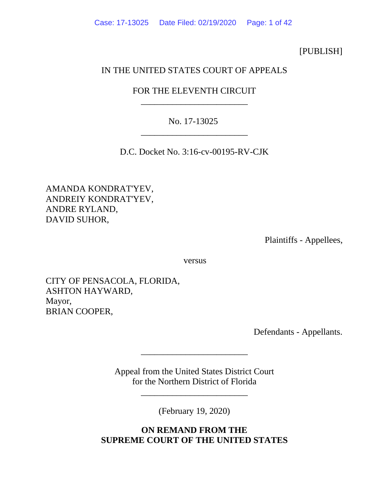[PUBLISH]

# IN THE UNITED STATES COURT OF APPEALS

# FOR THE ELEVENTH CIRCUIT \_\_\_\_\_\_\_\_\_\_\_\_\_\_\_\_\_\_\_\_\_\_\_\_

# No. 17-13025 \_\_\_\_\_\_\_\_\_\_\_\_\_\_\_\_\_\_\_\_\_\_\_\_

D.C. Docket No. 3:16-cv-00195-RV-CJK

AMANDA KONDRAT'YEV, ANDREIY KONDRAT'YEV, ANDRE RYLAND, DAVID SUHOR,

Plaintiffs - Appellees,

versus

CITY OF PENSACOLA, FLORIDA, ASHTON HAYWARD, Mayor, BRIAN COOPER,

Defendants - Appellants.

Appeal from the United States District Court for the Northern District of Florida

\_\_\_\_\_\_\_\_\_\_\_\_\_\_\_\_\_\_\_\_\_\_\_\_

\_\_\_\_\_\_\_\_\_\_\_\_\_\_\_\_\_\_\_\_\_\_\_\_

(February 19, 2020)

**ON REMAND FROM THE SUPREME COURT OF THE UNITED STATES**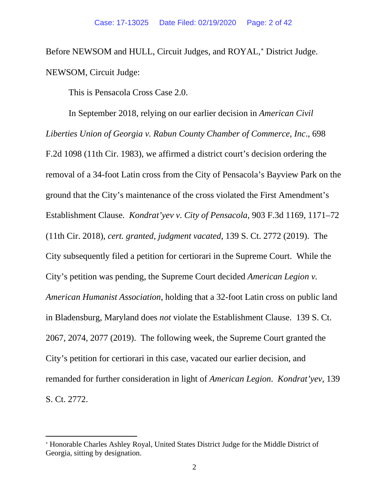Before NEWSOM and HULL, Circuit Judges, and ROYAL,<sup>\*</sup> District Judge. NEWSOM, Circuit Judge:

This is Pensacola Cross Case 2.0.

In September 2018, relying on our earlier decision in *American Civil Liberties Union of Georgia v. Rabun County Chamber of Commerce, Inc*., 698 F.2d 1098 (11th Cir. 1983), we affirmed a district court's decision ordering the removal of a 34-foot Latin cross from the City of Pensacola's Bayview Park on the ground that the City's maintenance of the cross violated the First Amendment's Establishment Clause. *Kondrat'yev v. City of Pensacola*, 903 F.3d 1169, 1171–72 (11th Cir. 2018), *cert. granted, judgment vacated*, 139 S. Ct. 2772 (2019). The City subsequently filed a petition for certiorari in the Supreme Court. While the City's petition was pending, the Supreme Court decided *American Legion v. American Humanist Association*, holding that a 32-foot Latin cross on public land in Bladensburg, Maryland does *not* violate the Establishment Clause. 139 S. Ct. 2067, 2074, 2077 (2019). The following week, the Supreme Court granted the City's petition for certiorari in this case, vacated our earlier decision, and remanded for further consideration in light of *American Legion*. *Kondrat'yev*, 139 S. Ct. 2772.

<span id="page-1-0"></span><sup>∗</sup> Honorable Charles Ashley Royal, United States District Judge for the Middle District of Georgia, sitting by designation.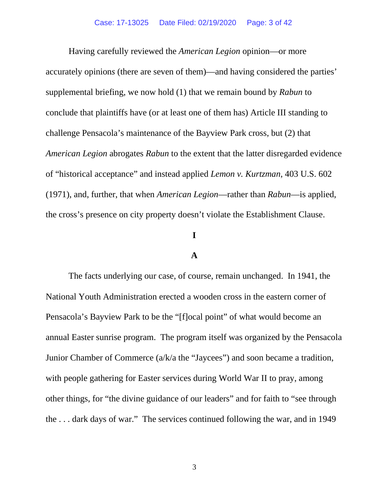Having carefully reviewed the *American Legion* opinion—or more accurately opinion*s* (there are seven of them)—and having considered the parties' supplemental briefing, we now hold (1) that we remain bound by *Rabun* to conclude that plaintiffs have (or at least one of them has) Article III standing to challenge Pensacola's maintenance of the Bayview Park cross, but (2) that *American Legion* abrogates *Rabun* to the extent that the latter disregarded evidence of "historical acceptance" and instead applied *Lemon v. Kurtzman*, 403 U.S. 602 (1971), and, further, that when *American Legion*—rather than *Rabun*—is applied, the cross's presence on city property doesn't violate the Establishment Clause.

## **I**

### **A**

The facts underlying our case, of course, remain unchanged. In 1941, the National Youth Administration erected a wooden cross in the eastern corner of Pensacola's Bayview Park to be the "[f]ocal point" of what would become an annual Easter sunrise program. The program itself was organized by the Pensacola Junior Chamber of Commerce (a/k/a the "Jaycees") and soon became a tradition, with people gathering for Easter services during World War II to pray, among other things, for "the divine guidance of our leaders" and for faith to "see through the . . . dark days of war." The services continued following the war, and in 1949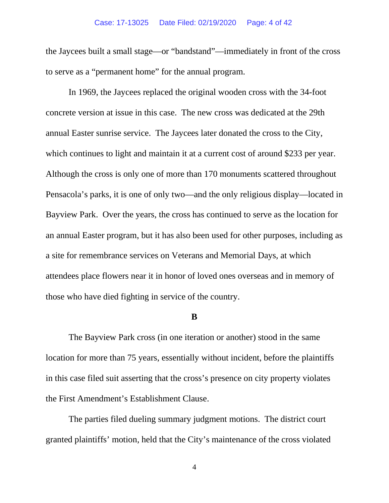#### Case: 17-13025 Date Filed: 02/19/2020 Page: 4 of 42

the Jaycees built a small stage—or "bandstand"—immediately in front of the cross to serve as a "permanent home" for the annual program.

In 1969, the Jaycees replaced the original wooden cross with the 34-foot concrete version at issue in this case. The new cross was dedicated at the 29th annual Easter sunrise service. The Jaycees later donated the cross to the City, which continues to light and maintain it at a current cost of around \$233 per year. Although the cross is only one of more than 170 monuments scattered throughout Pensacola's parks, it is one of only two—and the only religious display—located in Bayview Park. Over the years, the cross has continued to serve as the location for an annual Easter program, but it has also been used for other purposes, including as a site for remembrance services on Veterans and Memorial Days, at which attendees place flowers near it in honor of loved ones overseas and in memory of those who have died fighting in service of the country.

### **B**

The Bayview Park cross (in one iteration or another) stood in the same location for more than 75 years, essentially without incident, before the plaintiffs in this case filed suit asserting that the cross's presence on city property violates the First Amendment's Establishment Clause.

The parties filed dueling summary judgment motions. The district court granted plaintiffs' motion, held that the City's maintenance of the cross violated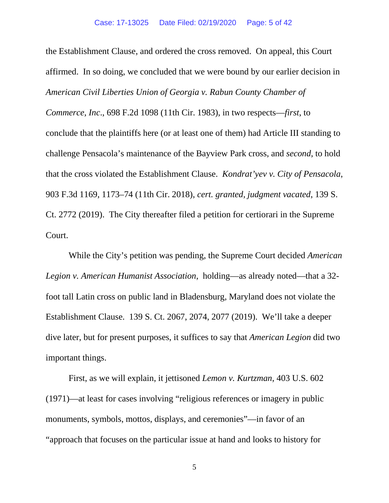the Establishment Clause, and ordered the cross removed. On appeal, this Court affirmed. In so doing, we concluded that we were bound by our earlier decision in *American Civil Liberties Union of Georgia v. Rabun County Chamber of* 

*Commerce, Inc*., 698 F.2d 1098 (11th Cir. 1983), in two respects—*first*, to conclude that the plaintiffs here (or at least one of them) had Article III standing to challenge Pensacola's maintenance of the Bayview Park cross, and *second*, to hold that the cross violated the Establishment Clause. *Kondrat'yev v. City of Pensacola*, 903 F.3d 1169, 1173–74 (11th Cir. 2018), *cert. granted, judgment vacated*, 139 S. Ct. 2772 (2019). The City thereafter filed a petition for certiorari in the Supreme Court.

While the City's petition was pending, the Supreme Court decided *American Legion v. American Humanist Association*, holding—as already noted—that a 32 foot tall Latin cross on public land in Bladensburg, Maryland does not violate the Establishment Clause. 139 S. Ct. 2067, 2074, 2077 (2019). We'll take a deeper dive later, but for present purposes, it suffices to say that *American Legion* did two important things.

First, as we will explain, it jettisoned *Lemon v. Kurtzman*, 403 U.S. 602 (1971)—at least for cases involving "religious references or imagery in public monuments, symbols, mottos, displays, and ceremonies"—in favor of an "approach that focuses on the particular issue at hand and looks to history for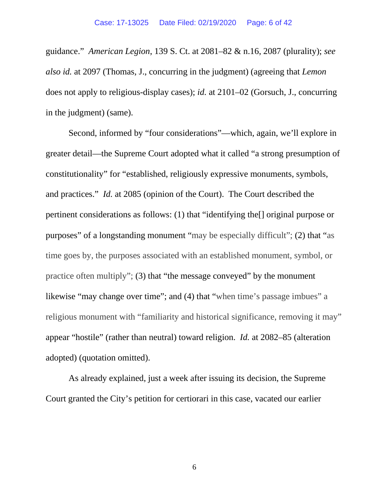guidance." *American Legion*, 139 S. Ct. at 2081–82 & n.16, 2087 (plurality); *see also id.* at 2097 (Thomas, J., concurring in the judgment) (agreeing that *Lemon* does not apply to religious-display cases); *id.* at 2101–02 (Gorsuch, J., concurring in the judgment) (same).

Second, informed by "four considerations"—which, again, we'll explore in greater detail—the Supreme Court adopted what it called "a strong presumption of constitutionality" for "established, religiously expressive monuments, symbols, and practices." *Id.* at 2085 (opinion of the Court). The Court described the pertinent considerations as follows: (1) that "identifying the[] original purpose or purposes" of a longstanding monument "may be especially difficult"; (2) that "as time goes by, the purposes associated with an established monument, symbol, or practice often multiply"; (3) that "the message conveyed" by the monument likewise "may change over time"; and (4) that "when time's passage imbues" a religious monument with "familiarity and historical significance, removing it may" appear "hostile" (rather than neutral) toward religion. *Id.* at 2082–85 (alteration adopted) (quotation omitted).

As already explained, just a week after issuing its decision, the Supreme Court granted the City's petition for certiorari in this case, vacated our earlier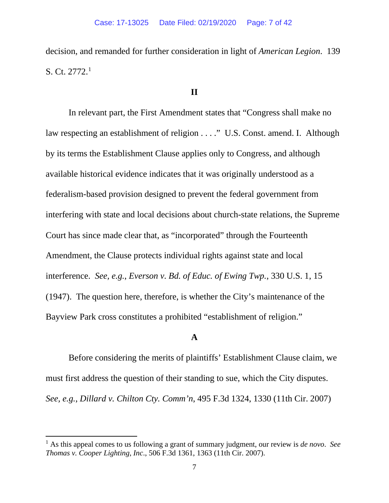decision, and remanded for further consideration in light of *American Legion*. 139 S. Ct.  $2772.<sup>1</sup>$  $2772.<sup>1</sup>$  $2772.<sup>1</sup>$ 

## **II**

In relevant part, the First Amendment states that "Congress shall make no law respecting an establishment of religion . . . ." U.S. Const. amend. I. Although by its terms the Establishment Clause applies only to Congress, and although available historical evidence indicates that it was originally understood as a federalism-based provision designed to prevent the federal government from interfering with state and local decisions about church-state relations, the Supreme Court has since made clear that, as "incorporated" through the Fourteenth Amendment, the Clause protects individual rights against state and local interference. *See, e.g.*, *Everson v. Bd. of Educ. of Ewing Twp.*, 330 U.S. 1, 15 (1947). The question here, therefore, is whether the City's maintenance of the Bayview Park cross constitutes a prohibited "establishment of religion."

## **A**

Before considering the merits of plaintiffs' Establishment Clause claim, we must first address the question of their standing to sue, which the City disputes. *See, e.g.*, *Dillard v. Chilton Cty. Comm'n*, 495 F.3d 1324, 1330 (11th Cir. 2007)

<span id="page-6-0"></span><sup>1</sup> As this appeal comes to us following a grant of summary judgment, our review is *de novo*. *See Thomas v. Cooper Lighting, Inc*., 506 F.3d 1361, 1363 (11th Cir. 2007).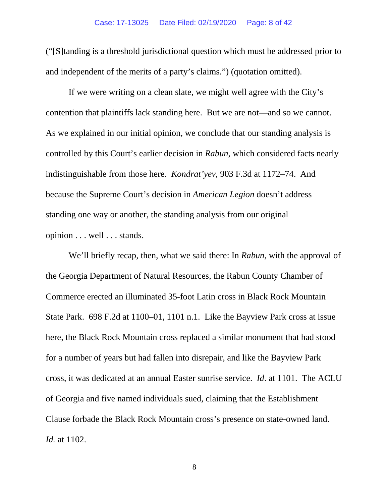("[S]tanding is a threshold jurisdictional question which must be addressed prior to and independent of the merits of a party's claims.") (quotation omitted).

If we were writing on a clean slate, we might well agree with the City's contention that plaintiffs lack standing here. But we are not—and so we cannot. As we explained in our initial opinion, we conclude that our standing analysis is controlled by this Court's earlier decision in *Rabun*, which considered facts nearly indistinguishable from those here. *Kondrat'yev*, 903 F.3d at 1172–74. And because the Supreme Court's decision in *American Legion* doesn't address standing one way or another, the standing analysis from our original opinion . . . well . . . stands.

We'll briefly recap, then, what we said there: In *Rabun*, with the approval of the Georgia Department of Natural Resources, the Rabun County Chamber of Commerce erected an illuminated 35-foot Latin cross in Black Rock Mountain State Park. 698 F.2d at 1100–01, 1101 n.1. Like the Bayview Park cross at issue here, the Black Rock Mountain cross replaced a similar monument that had stood for a number of years but had fallen into disrepair, and like the Bayview Park cross, it was dedicated at an annual Easter sunrise service. *Id*. at 1101. The ACLU of Georgia and five named individuals sued, claiming that the Establishment Clause forbade the Black Rock Mountain cross's presence on state-owned land. *Id.* at 1102.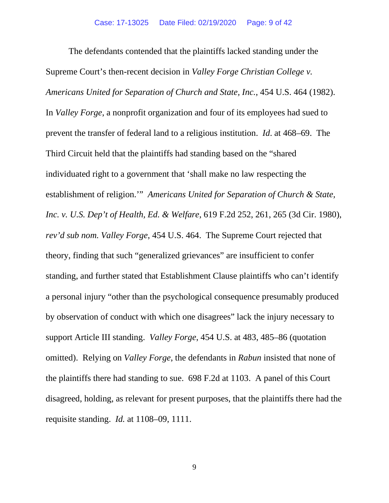The defendants contended that the plaintiffs lacked standing under the Supreme Court's then-recent decision in *Valley Forge Christian College v. Americans United for Separation of Church and State, Inc.*, 454 U.S. 464 (1982). In *Valley Forge*, a nonprofit organization and four of its employees had sued to prevent the transfer of federal land to a religious institution. *Id*. at 468–69. The Third Circuit held that the plaintiffs had standing based on the "shared individuated right to a government that 'shall make no law respecting the establishment of religion.'" *Americans United for Separation of Church & State, Inc. v. U.S. Dep't of Health, Ed. & Welfare*, 619 F.2d 252, 261, 265 (3d Cir. 1980), *rev'd sub nom. Valley Forge*, 454 U.S. 464. The Supreme Court rejected that theory, finding that such "generalized grievances" are insufficient to confer standing, and further stated that Establishment Clause plaintiffs who can't identify a personal injury "other than the psychological consequence presumably produced by observation of conduct with which one disagrees" lack the injury necessary to support Article III standing. *Valley Forge*, 454 U.S. at 483, 485–86 (quotation omitted). Relying on *Valley Forge*, the defendants in *Rabun* insisted that none of the plaintiffs there had standing to sue. 698 F.2d at 1103. A panel of this Court disagreed, holding, as relevant for present purposes, that the plaintiffs there had the requisite standing. *Id.* at 1108–09, 1111.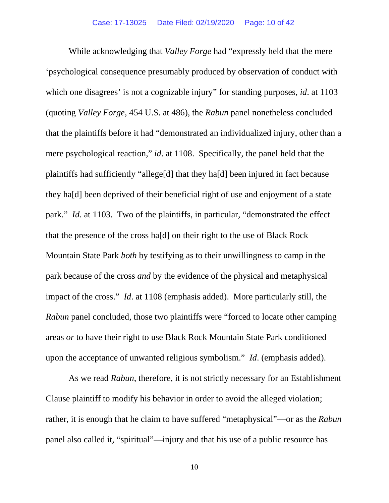While acknowledging that *Valley Forge* had "expressly held that the mere 'psychological consequence presumably produced by observation of conduct with which one disagrees' is not a cognizable injury" for standing purposes, *id*. at 1103 (quoting *Valley Forge*, 454 U.S. at 486), the *Rabun* panel nonetheless concluded that the plaintiffs before it had "demonstrated an individualized injury, other than a mere psychological reaction," *id*. at 1108. Specifically, the panel held that the plaintiffs had sufficiently "allege[d] that they ha[d] been injured in fact because they ha[d] been deprived of their beneficial right of use and enjoyment of a state park." *Id*. at 1103. Two of the plaintiffs, in particular, "demonstrated the effect that the presence of the cross ha[d] on their right to the use of Black Rock Mountain State Park *both* by testifying as to their unwillingness to camp in the park because of the cross *and* by the evidence of the physical and metaphysical impact of the cross." *Id*. at 1108 (emphasis added). More particularly still, the *Rabun* panel concluded, those two plaintiffs were "forced to locate other camping areas *or* to have their right to use Black Rock Mountain State Park conditioned upon the acceptance of unwanted religious symbolism." *Id*. (emphasis added).

As we read *Rabun*, therefore, it is not strictly necessary for an Establishment Clause plaintiff to modify his behavior in order to avoid the alleged violation; rather, it is enough that he claim to have suffered "metaphysical"—or as the *Rabun* panel also called it, "spiritual"—injury and that his use of a public resource has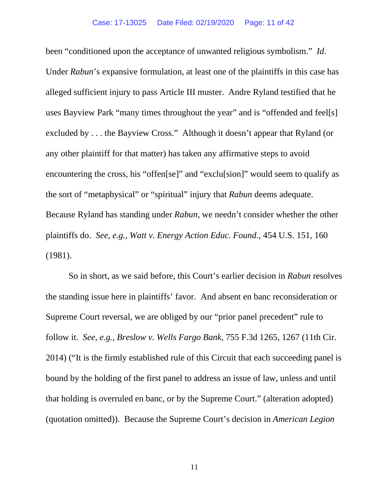been "conditioned upon the acceptance of unwanted religious symbolism." *Id*. Under *Rabun*'s expansive formulation, at least one of the plaintiffs in this case has alleged sufficient injury to pass Article III muster. Andre Ryland testified that he uses Bayview Park "many times throughout the year" and is "offended and feel[s] excluded by . . . the Bayview Cross." Although it doesn't appear that Ryland (or any other plaintiff for that matter) has taken any affirmative steps to avoid encountering the cross, his "offen[se]" and "exclu[sion]" would seem to qualify as the sort of "metaphysical" or "spiritual" injury that *Rabun* deems adequate. Because Ryland has standing under *Rabun*, we needn't consider whether the other plaintiffs do. *See, e.g.*, *Watt v. Energy Action Educ. Found.*, 454 U.S. 151, 160 (1981).

So in short, as we said before, this Court's earlier decision in *Rabun* resolves the standing issue here in plaintiffs' favor. And absent en banc reconsideration or Supreme Court reversal, we are obliged by our "prior panel precedent" rule to follow it. *See, e.g.*, *Breslow v. Wells Fargo Bank*, 755 F.3d 1265, 1267 (11th Cir. 2014) ("It is the firmly established rule of this Circuit that each succeeding panel is bound by the holding of the first panel to address an issue of law, unless and until that holding is overruled en banc, or by the Supreme Court." (alteration adopted) (quotation omitted)). Because the Supreme Court's decision in *American Legion*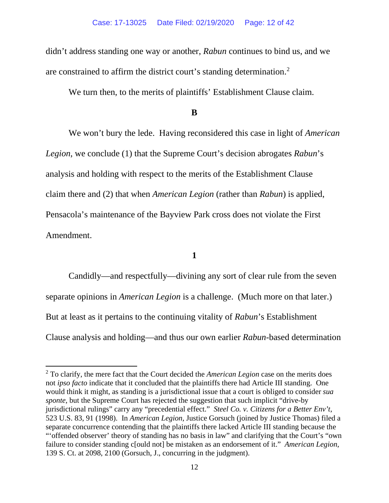didn't address standing one way or another, *Rabun* continues to bind us, and we are constrained to affirm the district court's standing determination.<sup>[2](#page-11-0)</sup>

We turn then, to the merits of plaintiffs' Establishment Clause claim.

## **B**

We won't bury the lede. Having reconsidered this case in light of *American Legion*, we conclude (1) that the Supreme Court's decision abrogates *Rabun*'s analysis and holding with respect to the merits of the Establishment Clause claim there and (2) that when *American Legion* (rather than *Rabun*) is applied, Pensacola's maintenance of the Bayview Park cross does not violate the First Amendment.

### **1**

Candidly—and respectfully—divining any sort of clear rule from the seven separate opinions in *American Legion* is a challenge. (Much more on that later.) But at least as it pertains to the continuing vitality of *Rabun*'s Establishment Clause analysis and holding—and thus our own earlier *Rabun*-based determination

<span id="page-11-0"></span><sup>2</sup> To clarify, the mere fact that the Court decided the *American Legion* case on the merits does not *ipso facto* indicate that it concluded that the plaintiffs there had Article III standing. One would think it might, as standing is a jurisdictional issue that a court is obliged to consider *sua sponte*, but the Supreme Court has rejected the suggestion that such implicit "drive-by jurisdictional rulings" carry any "precedential effect." *Steel Co. v. Citizens for a Better Env't*, 523 U.S. 83, 91 (1998). In *American Legion*, Justice Gorsuch (joined by Justice Thomas) filed a separate concurrence contending that the plaintiffs there lacked Article III standing because the "'offended observer' theory of standing has no basis in law" and clarifying that the Court's "own failure to consider standing c[ould not] be mistaken as an endorsement of it." *American Legion*, 139 S. Ct. at 2098, 2100 (Gorsuch, J., concurring in the judgment).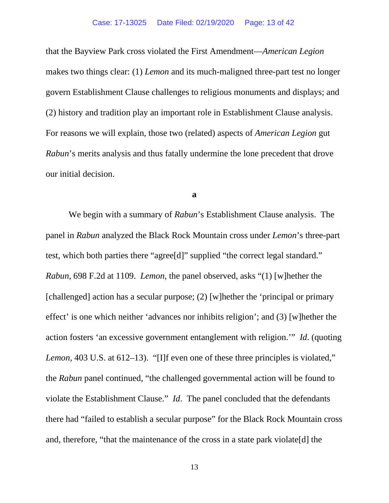that the Bayview Park cross violated the First Amendment—*American Legion* makes two things clear: (1) *Lemon* and its much-maligned three-part test no longer govern Establishment Clause challenges to religious monuments and displays; and (2) history and tradition play an important role in Establishment Clause analysis. For reasons we will explain, those two (related) aspects of *American Legion* gut *Rabun*'s merits analysis and thus fatally undermine the lone precedent that drove our initial decision.

**a**

We begin with a summary of *Rabun*'s Establishment Clause analysis. The panel in *Rabun* analyzed the Black Rock Mountain cross under *Lemon*'s three-part test, which both parties there "agree[d]" supplied "the correct legal standard." *Rabun*, 698 F.2d at 1109. *Lemon*, the panel observed, asks "(1) [w]hether the [challenged] action has a secular purpose; (2) [w]hether the 'principal or primary effect' is one which neither 'advances nor inhibits religion'; and (3) [w]hether the action fosters 'an excessive government entanglement with religion.'" *Id*. (quoting *Lemon*, 403 U.S. at 612–13). "[I]f even one of these three principles is violated," the *Rabun* panel continued, "the challenged governmental action will be found to violate the Establishment Clause." *Id*. The panel concluded that the defendants there had "failed to establish a secular purpose" for the Black Rock Mountain cross and, therefore, "that the maintenance of the cross in a state park violate[d] the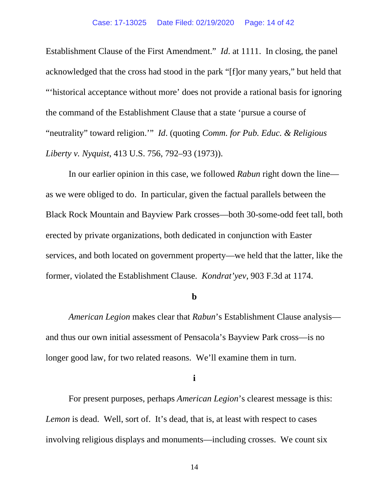Establishment Clause of the First Amendment." *Id*. at 1111. In closing, the panel acknowledged that the cross had stood in the park "[f]or many years," but held that "'historical acceptance without more' does not provide a rational basis for ignoring the command of the Establishment Clause that a state 'pursue a course of "neutrality" toward religion.'" *Id*. (quoting *Comm. for Pub. Educ. & Religious Liberty v. Nyquist*, 413 U.S. 756, 792–93 (1973)).

In our earlier opinion in this case, we followed *Rabun* right down the line as we were obliged to do. In particular, given the factual parallels between the Black Rock Mountain and Bayview Park crosses—both 30-some-odd feet tall, both erected by private organizations, both dedicated in conjunction with Easter services, and both located on government property—we held that the latter, like the former, violated the Establishment Clause. *Kondrat'yev*, 903 F.3d at 1174.

#### **b**

*American Legion* makes clear that *Rabun*'s Establishment Clause analysis and thus our own initial assessment of Pensacola's Bayview Park cross—is no longer good law, for two related reasons. We'll examine them in turn.

**i**

For present purposes, perhaps *American Legion*'s clearest message is this: *Lemon* is dead. Well, sort of. It's dead, that is, at least with respect to cases involving religious displays and monuments—including crosses. We count six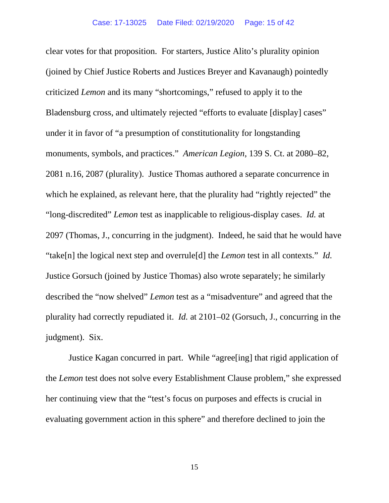clear votes for that proposition. For starters, Justice Alito's plurality opinion (joined by Chief Justice Roberts and Justices Breyer and Kavanaugh) pointedly criticized *Lemon* and its many "shortcomings," refused to apply it to the Bladensburg cross, and ultimately rejected "efforts to evaluate [display] cases" under it in favor of "a presumption of constitutionality for longstanding monuments, symbols, and practices." *American Legion*, 139 S. Ct. at 2080–82, 2081 n.16, 2087 (plurality). Justice Thomas authored a separate concurrence in which he explained, as relevant here, that the plurality had "rightly rejected" the "long-discredited" *Lemon* test as inapplicable to religious-display cases. *Id.* at 2097 (Thomas, J., concurring in the judgment). Indeed, he said that he would have "take[n] the logical next step and overrule[d] the *Lemon* test in all contexts." *Id.* Justice Gorsuch (joined by Justice Thomas) also wrote separately; he similarly described the "now shelved" *Lemon* test as a "misadventure" and agreed that the plurality had correctly repudiated it. *Id.* at 2101–02 (Gorsuch, J., concurring in the judgment). Six.

Justice Kagan concurred in part. While "agree[ing] that rigid application of the *Lemon* test does not solve every Establishment Clause problem," she expressed her continuing view that the "test's focus on purposes and effects is crucial in evaluating government action in this sphere" and therefore declined to join the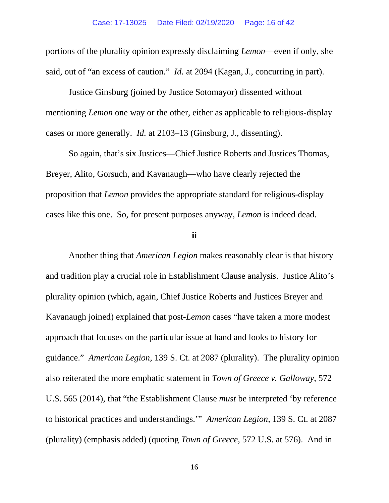portions of the plurality opinion expressly disclaiming *Lemon*—even if only, she said, out of "an excess of caution." *Id.* at 2094 (Kagan, J., concurring in part).

Justice Ginsburg (joined by Justice Sotomayor) dissented without mentioning *Lemon* one way or the other, either as applicable to religious-display cases or more generally. *Id.* at 2103–13 (Ginsburg, J., dissenting).

So again, that's six Justices—Chief Justice Roberts and Justices Thomas, Breyer, Alito, Gorsuch, and Kavanaugh—who have clearly rejected the proposition that *Lemon* provides the appropriate standard for religious-display cases like this one. So, for present purposes anyway, *Lemon* is indeed dead.

## **ii**

Another thing that *American Legion* makes reasonably clear is that history and tradition play a crucial role in Establishment Clause analysis. Justice Alito's plurality opinion (which, again, Chief Justice Roberts and Justices Breyer and Kavanaugh joined) explained that post-*Lemon* cases "have taken a more modest approach that focuses on the particular issue at hand and looks to history for guidance." *American Legion*, 139 S. Ct. at 2087 (plurality). The plurality opinion also reiterated the more emphatic statement in *Town of Greece v. Galloway*, 572 U.S. 565 (2014), that "the Establishment Clause *must* be interpreted 'by reference to historical practices and understandings.'" *American Legion*, 139 S. Ct. at 2087 (plurality) (emphasis added) (quoting *Town of Greece*, 572 U.S. at 576). And in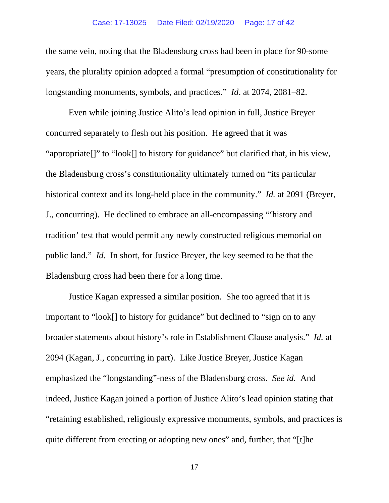#### Case: 17-13025 Date Filed: 02/19/2020 Page: 17 of 42

the same vein, noting that the Bladensburg cross had been in place for 90-some years, the plurality opinion adopted a formal "presumption of constitutionality for longstanding monuments, symbols, and practices." *Id*. at 2074, 2081–82.

Even while joining Justice Alito's lead opinion in full, Justice Breyer concurred separately to flesh out his position. He agreed that it was "appropriate[]" to "look[] to history for guidance" but clarified that, in his view, the Bladensburg cross's constitutionality ultimately turned on "its particular historical context and its long-held place in the community." *Id.* at 2091 (Breyer, J., concurring). He declined to embrace an all-encompassing "'history and tradition' test that would permit any newly constructed religious memorial on public land." *Id.* In short, for Justice Breyer, the key seemed to be that the Bladensburg cross had been there for a long time.

Justice Kagan expressed a similar position. She too agreed that it is important to "look[] to history for guidance" but declined to "sign on to any broader statements about history's role in Establishment Clause analysis." *Id.* at 2094 (Kagan, J., concurring in part). Like Justice Breyer, Justice Kagan emphasized the "longstanding"-ness of the Bladensburg cross. *See id.* And indeed, Justice Kagan joined a portion of Justice Alito's lead opinion stating that "retaining established, religiously expressive monuments, symbols, and practices is quite different from erecting or adopting new ones" and, further, that "[t]he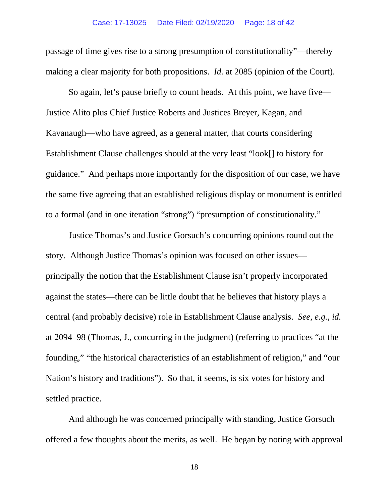passage of time gives rise to a strong presumption of constitutionality"—thereby making a clear majority for both propositions. *Id.* at 2085 (opinion of the Court).

So again, let's pause briefly to count heads. At this point, we have five— Justice Alito plus Chief Justice Roberts and Justices Breyer, Kagan, and Kavanaugh—who have agreed, as a general matter, that courts considering Establishment Clause challenges should at the very least "look[] to history for guidance." And perhaps more importantly for the disposition of our case, we have the same five agreeing that an established religious display or monument is entitled to a formal (and in one iteration "strong") "presumption of constitutionality."

Justice Thomas's and Justice Gorsuch's concurring opinions round out the story. Although Justice Thomas's opinion was focused on other issues principally the notion that the Establishment Clause isn't properly incorporated against the states—there can be little doubt that he believes that history plays a central (and probably decisive) role in Establishment Clause analysis. *See, e.g.*, *id.* at 2094–98 (Thomas, J., concurring in the judgment) (referring to practices "at the founding," "the historical characteristics of an establishment of religion," and "our Nation's history and traditions"). So that, it seems, is six votes for history and settled practice.

And although he was concerned principally with standing, Justice Gorsuch offered a few thoughts about the merits, as well. He began by noting with approval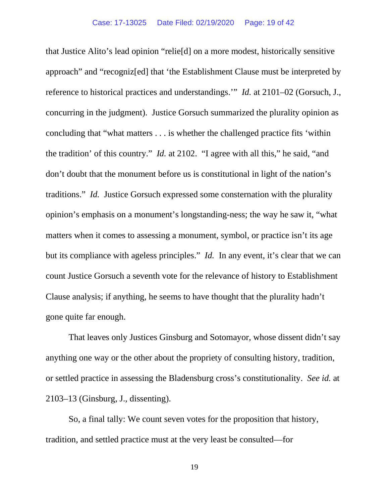that Justice Alito's lead opinion "relie[d] on a more modest, historically sensitive approach" and "recogniz[ed] that 'the Establishment Clause must be interpreted by reference to historical practices and understandings.'" *Id.* at 2101–02 (Gorsuch, J., concurring in the judgment). Justice Gorsuch summarized the plurality opinion as concluding that "what matters . . . is whether the challenged practice fits 'within the tradition' of this country." *Id.* at 2102. "I agree with all this," he said, "and don't doubt that the monument before us is constitutional in light of the nation's traditions." *Id.* Justice Gorsuch expressed some consternation with the plurality opinion's emphasis on a monument's longstanding-ness; the way he saw it, "what matters when it comes to assessing a monument, symbol, or practice isn't its age but its compliance with ageless principles." *Id.* In any event, it's clear that we can count Justice Gorsuch a seventh vote for the relevance of history to Establishment Clause analysis; if anything, he seems to have thought that the plurality hadn't gone quite far enough.

That leaves only Justices Ginsburg and Sotomayor, whose dissent didn't say anything one way or the other about the propriety of consulting history, tradition, or settled practice in assessing the Bladensburg cross's constitutionality. *See id.* at 2103–13 (Ginsburg, J., dissenting).

So, a final tally: We count seven votes for the proposition that history, tradition, and settled practice must at the very least be consulted—for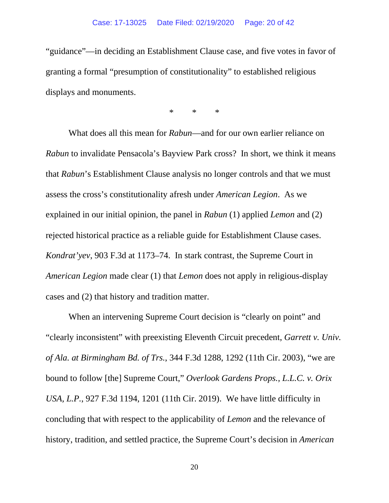"guidance"—in deciding an Establishment Clause case, and five votes in favor of granting a formal "presumption of constitutionality" to established religious displays and monuments.

\* \* \*

What does all this mean for *Rabun*—and for our own earlier reliance on *Rabun* to invalidate Pensacola's Bayview Park cross? In short, we think it means that *Rabun*'s Establishment Clause analysis no longer controls and that we must assess the cross's constitutionality afresh under *American Legion*. As we explained in our initial opinion, the panel in *Rabun* (1) applied *Lemon* and (2) rejected historical practice as a reliable guide for Establishment Clause cases. *Kondrat'yev*, 903 F.3d at 1173–74. In stark contrast, the Supreme Court in *American Legion* made clear (1) that *Lemon* does not apply in religious-display cases and (2) that history and tradition matter.

When an intervening Supreme Court decision is "clearly on point" and "clearly inconsistent" with preexisting Eleventh Circuit precedent, *Garrett v. Univ. of Ala. at Birmingham Bd. of Trs.*, 344 F.3d 1288, 1292 (11th Cir. 2003), "we are bound to follow [the] Supreme Court," *Overlook Gardens Props., L.L.C. v. Orix USA, L.P.*, 927 F.3d 1194, 1201 (11th Cir. 2019). We have little difficulty in concluding that with respect to the applicability of *Lemon* and the relevance of history, tradition, and settled practice, the Supreme Court's decision in *American*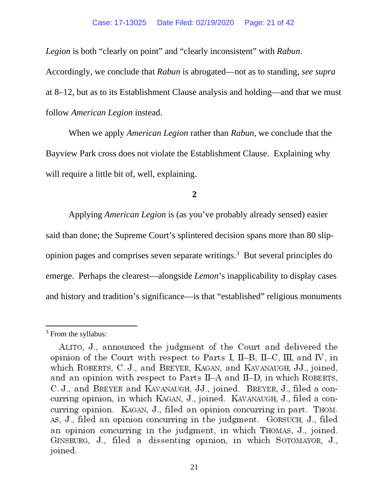*Legion* is both "clearly on point" and "clearly inconsistent" with *Rabun*.

Accordingly, we conclude that *Rabun* is abrogated—not as to standing, *see supra* at 8–12, but as to its Establishment Clause analysis and holding—and that we must follow *American Legion* instead.

When we apply *American Legion* rather than *Rabun*, we conclude that the Bayview Park cross does not violate the Establishment Clause. Explaining why will require a little bit of, well, explaining.

**2**

Applying *American Legion* is (as you've probably already sensed) easier said than done; the Supreme Court's splintered decision spans more than 80 slipopinion pages and comprises seven separate writings. [3](#page-20-0) But several principles do emerge. Perhaps the clearest—alongside *Lemon*'s inapplicability to display cases and history and tradition's significance—is that "established" religious monuments

<span id="page-20-0"></span><sup>&</sup>lt;sup>3</sup> From the syllabus:

ALITO, J., announced the judgment of the Court and delivered the opinion of the Court with respect to Parts I, II-B, II-C, III, and IV, in which ROBERTS, C.J., and BREYER, KAGAN, and KAVANAUGH, JJ., joined, and an opinion with respect to Parts II-A and II-D, in which ROBERTS, C. J., and BREYER and KAVANAUGH, JJ., joined. BREYER, J., filed a concurring opinion, in which KAGAN, J., joined. KAVANAUGH, J., filed a concurring opinion. KAGAN, J., filed an opinion concurring in part. Thom-As, J., filed an opinion concurring in the judgment. GORSUCH, J., filed an opinion concurring in the judgment, in which THOMAS, J., joined. GINSBURG, J., filed a dissenting opinion, in which SOTOMAYOR, J., joined.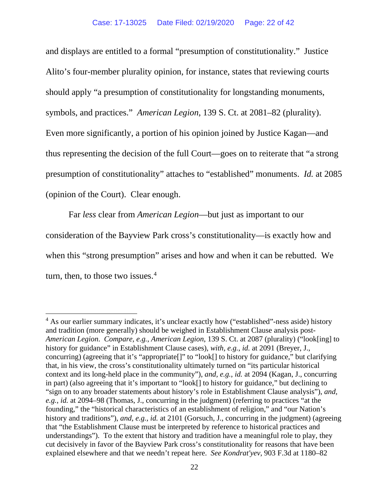and displays are entitled to a formal "presumption of constitutionality." Justice Alito's four-member plurality opinion, for instance, states that reviewing courts should apply "a presumption of constitutionality for longstanding monuments, symbols, and practices." *American Legion*, 139 S. Ct. at 2081–82 (plurality). Even more significantly, a portion of his opinion joined by Justice Kagan—and thus representing the decision of the full Court—goes on to reiterate that "a strong presumption of constitutionality" attaches to "established" monuments. *Id.* at 2085 (opinion of the Court). Clear enough.

Far *less* clear from *American Legion*—but just as important to our consideration of the Bayview Park cross's constitutionality—is exactly how and when this "strong presumption" arises and how and when it can be rebutted. We turn, then, to those two issues. [4](#page-21-0)

<span id="page-21-0"></span><sup>&</sup>lt;sup>4</sup> As our earlier summary indicates, it's unclear exactly how ("established"-ness aside) history and tradition (more generally) should be weighed in Establishment Clause analysis post-*American Legion*. *Compare, e.g.*, *American Legion*, 139 S. Ct. at 2087 (plurality) ("look[ing] to history for guidance" in Establishment Clause cases), *with, e.g.*, *id.* at 2091 (Breyer, J., concurring) (agreeing that it's "appropriate[]" to "look[] to history for guidance," but clarifying that, in his view, the cross's constitutionality ultimately turned on "its particular historical context and its long-held place in the community"), *and, e.g.*, *id.* at 2094 (Kagan, J., concurring in part) (also agreeing that it's important to "look[] to history for guidance," but declining to "sign on to any broader statements about history's role in Establishment Clause analysis"), *and, e.g.*, *id.* at 2094–98 (Thomas, J., concurring in the judgment) (referring to practices "at the founding," the "historical characteristics of an establishment of religion," and "our Nation's history and traditions"), *and, e.g., id.* at 2101 (Gorsuch, J., concurring in the judgment) (agreeing that "the Establishment Clause must be interpreted by reference to historical practices and understandings"). To the extent that history and tradition have a meaningful role to play, they cut decisively in favor of the Bayview Park cross's constitutionality for reasons that have been explained elsewhere and that we needn't repeat here. *See Kondrat'yev*, 903 F.3d at 1180–82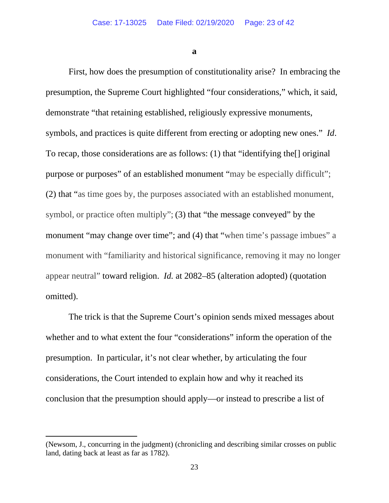**a**

First, how does the presumption of constitutionality arise? In embracing the presumption, the Supreme Court highlighted "four considerations," which, it said, demonstrate "that retaining established, religiously expressive monuments, symbols, and practices is quite different from erecting or adopting new ones." *Id*. To recap, those considerations are as follows: (1) that "identifying the[] original purpose or purposes" of an established monument "may be especially difficult"; (2) that "as time goes by, the purposes associated with an established monument, symbol, or practice often multiply"; (3) that "the message conveyed" by the monument "may change over time"; and (4) that "when time's passage imbues" a monument with "familiarity and historical significance, removing it may no longer appear neutral" toward religion. *Id.* at 2082–85 (alteration adopted) (quotation omitted).

The trick is that the Supreme Court's opinion sends mixed messages about whether and to what extent the four "considerations" inform the operation of the presumption. In particular, it's not clear whether, by articulating the four considerations, the Court intended to explain how and why it reached its conclusion that the presumption should apply—or instead to prescribe a list of

<sup>(</sup>Newsom, J., concurring in the judgment) (chronicling and describing similar crosses on public land, dating back at least as far as 1782).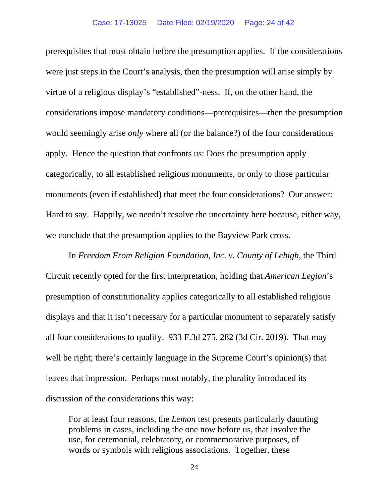prerequisites that must obtain before the presumption applies. If the considerations were just steps in the Court's analysis, then the presumption will arise simply by virtue of a religious display's "established"-ness. If, on the other hand, the considerations impose mandatory conditions—prerequisites—then the presumption would seemingly arise *only* where all (or the balance?) of the four considerations apply. Hence the question that confronts us: Does the presumption apply categorically, to all established religious monuments, or only to those particular monuments (even if established) that meet the four considerations? Our answer: Hard to say. Happily, we needn't resolve the uncertainty here because, either way, we conclude that the presumption applies to the Bayview Park cross.

In *Freedom From Religion Foundation, Inc. v. County of Lehigh*, the Third Circuit recently opted for the first interpretation, holding that *American Legion*'s presumption of constitutionality applies categorically to all established religious displays and that it isn't necessary for a particular monument to separately satisfy all four considerations to qualify. 933 F.3d 275, 282 (3d Cir. 2019). That may well be right; there's certainly language in the Supreme Court's opinion(s) that leaves that impression. Perhaps most notably, the plurality introduced its discussion of the considerations this way:

For at least four reasons, the *Lemon* test presents particularly daunting problems in cases, including the one now before us, that involve the use, for ceremonial, celebratory, or commemorative purposes, of words or symbols with religious associations. Together, these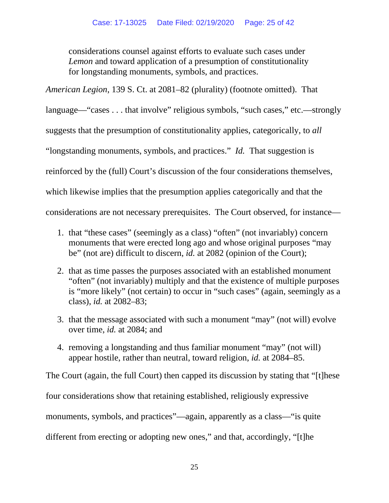considerations counsel against efforts to evaluate such cases under *Lemon* and toward application of a presumption of constitutionality for longstanding monuments, symbols, and practices.

*American Legion*, 139 S. Ct. at 2081–82 (plurality) (footnote omitted). That

language—"cases . . . that involve" religious symbols, "such cases," etc.—strongly

suggests that the presumption of constitutionality applies, categorically, to *all*

"longstanding monuments, symbols, and practices." *Id.* That suggestion is

reinforced by the (full) Court's discussion of the four considerations themselves,

which likewise implies that the presumption applies categorically and that the

considerations are not necessary prerequisites. The Court observed, for instance—

- 1. that "these cases" (seemingly as a class) "often" (not invariably) concern monuments that were erected long ago and whose original purposes "may be" (not are) difficult to discern, *id.* at 2082 (opinion of the Court);
- 2. that as time passes the purposes associated with an established monument "often" (not invariably) multiply and that the existence of multiple purposes is "more likely" (not certain) to occur in "such cases" (again, seemingly as a class), *id.* at 2082–83;
- 3. that the message associated with such a monument "may" (not will) evolve over time, *id.* at 2084; and
- 4. removing a longstanding and thus familiar monument "may" (not will) appear hostile, rather than neutral, toward religion, *id.* at 2084–85.

The Court (again, the full Court) then capped its discussion by stating that "[t]hese

four considerations show that retaining established, religiously expressive

monuments, symbols, and practices"—again, apparently as a class—"is quite

different from erecting or adopting new ones," and that, accordingly, "[t]he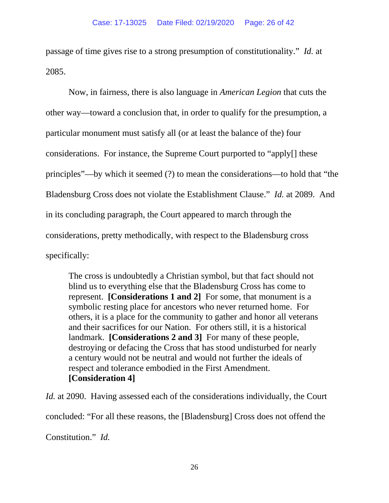passage of time gives rise to a strong presumption of constitutionality." *Id.* at 2085.

Now, in fairness, there is also language in *American Legion* that cuts the other way—toward a conclusion that, in order to qualify for the presumption, a particular monument must satisfy all (or at least the balance of the) four considerations. For instance, the Supreme Court purported to "apply[] these principles"—by which it seemed (?) to mean the considerations—to hold that "the Bladensburg Cross does not violate the Establishment Clause." *Id.* at 2089. And in its concluding paragraph, the Court appeared to march through the considerations, pretty methodically, with respect to the Bladensburg cross specifically:

The cross is undoubtedly a Christian symbol, but that fact should not blind us to everything else that the Bladensburg Cross has come to represent. **[Considerations 1 and 2]** For some, that monument is a symbolic resting place for ancestors who never returned home. For others, it is a place for the community to gather and honor all veterans and their sacrifices for our Nation. For others still, it is a historical landmark. **[Considerations 2 and 3]** For many of these people, destroying or defacing the Cross that has stood undisturbed for nearly a century would not be neutral and would not further the ideals of respect and tolerance embodied in the First Amendment. **[Consideration 4]**

*Id.* at 2090. Having assessed each of the considerations individually, the Court concluded: "For all these reasons, the [Bladensburg] Cross does not offend the Constitution." *Id.*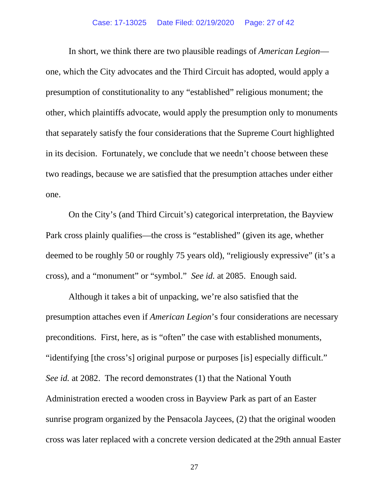In short, we think there are two plausible readings of *American Legion* one, which the City advocates and the Third Circuit has adopted, would apply a presumption of constitutionality to any "established" religious monument; the other, which plaintiffs advocate, would apply the presumption only to monuments that separately satisfy the four considerations that the Supreme Court highlighted in its decision. Fortunately, we conclude that we needn't choose between these two readings, because we are satisfied that the presumption attaches under either one.

On the City's (and Third Circuit's) categorical interpretation, the Bayview Park cross plainly qualifies—the cross is "established" (given its age, whether deemed to be roughly 50 or roughly 75 years old), "religiously expressive" (it's a cross), and a "monument" or "symbol." *See id.* at 2085. Enough said.

Although it takes a bit of unpacking, we're also satisfied that the presumption attaches even if *American Legion*'s four considerations are necessary preconditions. First, here, as is "often" the case with established monuments, "identifying [the cross's] original purpose or purposes [is] especially difficult." *See id.* at 2082. The record demonstrates (1) that the National Youth Administration erected a wooden cross in Bayview Park as part of an Easter sunrise program organized by the Pensacola Jaycees, (2) that the original wooden cross was later replaced with a concrete version dedicated at the 29th annual Easter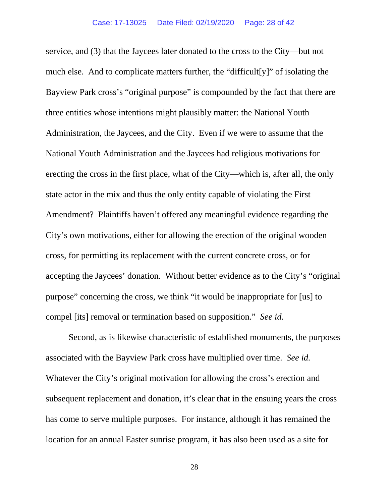service, and (3) that the Jaycees later donated to the cross to the City—but not much else. And to complicate matters further, the "difficult[y]" of isolating the Bayview Park cross's "original purpose" is compounded by the fact that there are three entities whose intentions might plausibly matter: the National Youth Administration, the Jaycees, and the City. Even if we were to assume that the National Youth Administration and the Jaycees had religious motivations for erecting the cross in the first place, what of the City—which is, after all, the only state actor in the mix and thus the only entity capable of violating the First Amendment? Plaintiffs haven't offered any meaningful evidence regarding the City's own motivations, either for allowing the erection of the original wooden cross, for permitting its replacement with the current concrete cross, or for accepting the Jaycees' donation. Without better evidence as to the City's "original purpose" concerning the cross, we think "it would be inappropriate for [us] to compel [its] removal or termination based on supposition." *See id.*

Second, as is likewise characteristic of established monuments, the purposes associated with the Bayview Park cross have multiplied over time. *See id.* Whatever the City's original motivation for allowing the cross's erection and subsequent replacement and donation, it's clear that in the ensuing years the cross has come to serve multiple purposes. For instance, although it has remained the location for an annual Easter sunrise program, it has also been used as a site for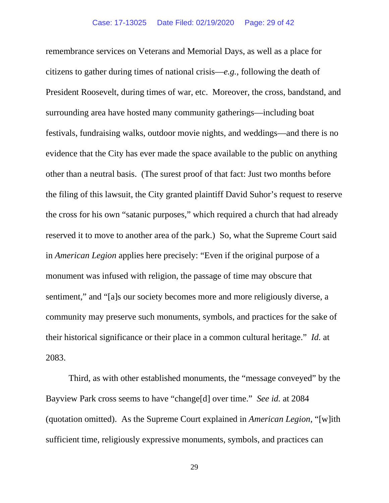remembrance services on Veterans and Memorial Days, as well as a place for citizens to gather during times of national crisis—*e.g.*, following the death of President Roosevelt, during times of war, etc. Moreover, the cross, bandstand, and surrounding area have hosted many community gatherings—including boat festivals, fundraising walks, outdoor movie nights, and weddings—and there is no evidence that the City has ever made the space available to the public on anything other than a neutral basis. (The surest proof of that fact: Just two months before the filing of this lawsuit, the City granted plaintiff David Suhor's request to reserve the cross for his own "satanic purposes," which required a church that had already reserved it to move to another area of the park.) So, what the Supreme Court said in *American Legion* applies here precisely: "Even if the original purpose of a monument was infused with religion, the passage of time may obscure that sentiment," and "[a]s our society becomes more and more religiously diverse, a community may preserve such monuments, symbols, and practices for the sake of their historical significance or their place in a common cultural heritage." *Id.* at 2083.

Third, as with other established monuments, the "message conveyed" by the Bayview Park cross seems to have "change[d] over time." *See id.* at 2084 (quotation omitted). As the Supreme Court explained in *American Legion*, "[w]ith sufficient time, religiously expressive monuments, symbols, and practices can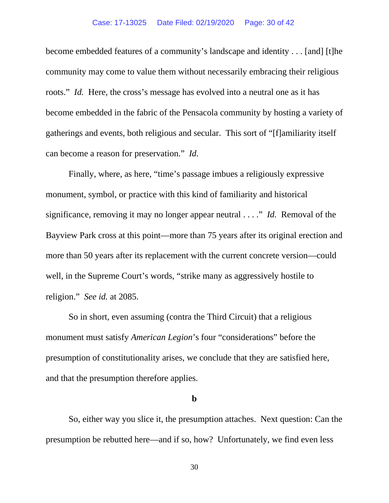#### Case: 17-13025 Date Filed: 02/19/2020 Page: 30 of 42

become embedded features of a community's landscape and identity . . . [and] [t]he community may come to value them without necessarily embracing their religious roots." *Id.* Here, the cross's message has evolved into a neutral one as it has become embedded in the fabric of the Pensacola community by hosting a variety of gatherings and events, both religious and secular. This sort of "[f]amiliarity itself can become a reason for preservation." *Id.*

Finally, where, as here, "time's passage imbues a religiously expressive monument, symbol, or practice with this kind of familiarity and historical significance, removing it may no longer appear neutral . . . ." *Id.* Removal of the Bayview Park cross at this point—more than 75 years after its original erection and more than 50 years after its replacement with the current concrete version—could well, in the Supreme Court's words, "strike many as aggressively hostile to religion." *See id.* at 2085.

So in short, even assuming (contra the Third Circuit) that a religious monument must satisfy *American Legion*'s four "considerations" before the presumption of constitutionality arises, we conclude that they are satisfied here, and that the presumption therefore applies.

### **b**

So, either way you slice it, the presumption attaches. Next question: Can the presumption be rebutted here—and if so, how? Unfortunately, we find even less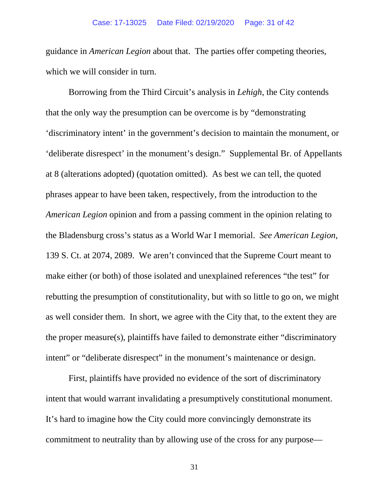guidance in *American Legion* about that. The parties offer competing theories, which we will consider in turn.

Borrowing from the Third Circuit's analysis in *Lehigh*, the City contends that the only way the presumption can be overcome is by "demonstrating 'discriminatory intent' in the government's decision to maintain the monument, or 'deliberate disrespect' in the monument's design." Supplemental Br. of Appellants at 8 (alterations adopted) (quotation omitted). As best we can tell, the quoted phrases appear to have been taken, respectively, from the introduction to the *American Legion* opinion and from a passing comment in the opinion relating to the Bladensburg cross's status as a World War I memorial. *See American Legion*, 139 S. Ct. at 2074, 2089. We aren't convinced that the Supreme Court meant to make either (or both) of those isolated and unexplained references "the test" for rebutting the presumption of constitutionality, but with so little to go on, we might as well consider them. In short, we agree with the City that, to the extent they are the proper measure(s), plaintiffs have failed to demonstrate either "discriminatory intent" or "deliberate disrespect" in the monument's maintenance or design.

First, plaintiffs have provided no evidence of the sort of discriminatory intent that would warrant invalidating a presumptively constitutional monument. It's hard to imagine how the City could more convincingly demonstrate its commitment to neutrality than by allowing use of the cross for any purpose—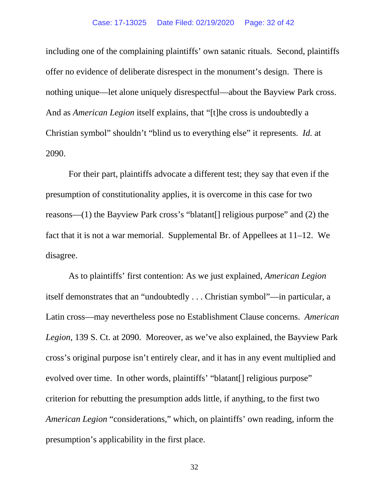including one of the complaining plaintiffs' own satanic rituals. Second, plaintiffs offer no evidence of deliberate disrespect in the monument's design. There is nothing unique—let alone uniquely disrespectful—about the Bayview Park cross. And as *American Legion* itself explains, that "[t]he cross is undoubtedly a Christian symbol" shouldn't "blind us to everything else" it represents. *Id.* at 2090.

For their part, plaintiffs advocate a different test; they say that even if the presumption of constitutionality applies, it is overcome in this case for two reasons—(1) the Bayview Park cross's "blatant[] religious purpose" and (2) the fact that it is not a war memorial. Supplemental Br. of Appellees at 11–12. We disagree.

As to plaintiffs' first contention: As we just explained, *American Legion* itself demonstrates that an "undoubtedly . . . Christian symbol"—in particular, a Latin cross—may nevertheless pose no Establishment Clause concerns. *American Legion*, 139 S. Ct. at 2090. Moreover, as we've also explained, the Bayview Park cross's original purpose isn't entirely clear, and it has in any event multiplied and evolved over time. In other words, plaintiffs' "blatant[] religious purpose" criterion for rebutting the presumption adds little, if anything, to the first two *American Legion* "considerations," which, on plaintiffs' own reading, inform the presumption's applicability in the first place.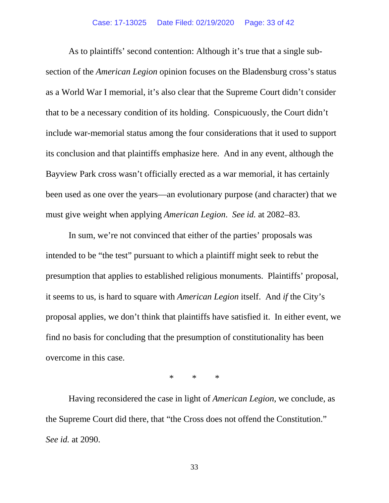#### Case: 17-13025 Date Filed: 02/19/2020 Page: 33 of 42

As to plaintiffs' second contention: Although it's true that a single subsection of the *American Legion* opinion focuses on the Bladensburg cross's status as a World War I memorial, it's also clear that the Supreme Court didn't consider that to be a necessary condition of its holding. Conspicuously, the Court didn't include war-memorial status among the four considerations that it used to support its conclusion and that plaintiffs emphasize here. And in any event, although the Bayview Park cross wasn't officially erected as a war memorial, it has certainly been used as one over the years—an evolutionary purpose (and character) that we must give weight when applying *American Legion*. *See id.* at 2082–83.

In sum, we're not convinced that either of the parties' proposals was intended to be "the test" pursuant to which a plaintiff might seek to rebut the presumption that applies to established religious monuments. Plaintiffs' proposal, it seems to us, is hard to square with *American Legion* itself. And *if* the City's proposal applies, we don't think that plaintiffs have satisfied it. In either event, we find no basis for concluding that the presumption of constitutionality has been overcome in this case.

\* \* \*

Having reconsidered the case in light of *American Legion*, we conclude, as the Supreme Court did there, that "the Cross does not offend the Constitution." *See id.* at 2090.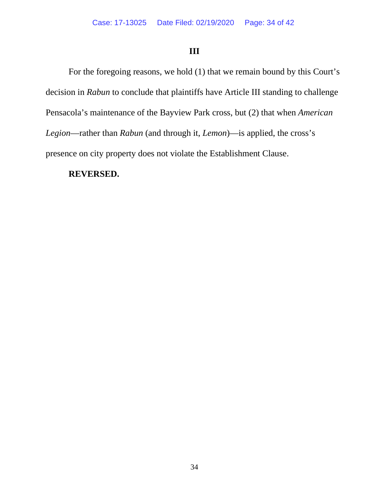# **III**

For the foregoing reasons, we hold (1) that we remain bound by this Court's decision in *Rabun* to conclude that plaintiffs have Article III standing to challenge Pensacola's maintenance of the Bayview Park cross, but (2) that when *American Legion*—rather than *Rabun* (and through it, *Lemon*)—is applied, the cross's presence on city property does not violate the Establishment Clause.

## **REVERSED.**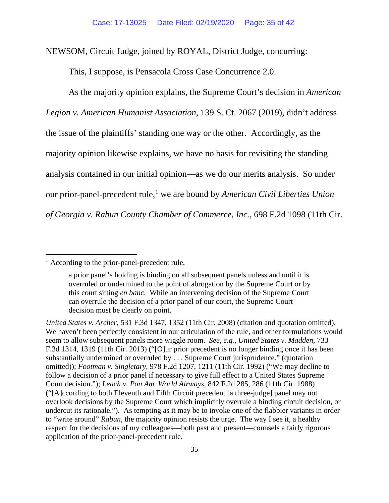NEWSOM, Circuit Judge, joined by ROYAL, District Judge, concurring:

This, I suppose, is Pensacola Cross Case Concurrence 2.0.

As the majority opinion explains, the Supreme Court's decision in *American Legion v. American Humanist Association*, 139 S. Ct. 2067 (2019), didn't address the issue of the plaintiffs' standing one way or the other. Accordingly, as the majority opinion likewise explains, we have no basis for revisiting the standing analysis contained in our initial opinion—as we do our merits analysis. So under our prior-panel-precedent rule,<sup>[1](#page-34-0)</sup> we are bound by *American Civil Liberties Union of Georgia v. Rabun County Chamber of Commerce, Inc.*, 698 F.2d 1098 (11th Cir.

<span id="page-34-0"></span><sup>&</sup>lt;sup>1</sup> According to the prior-panel-precedent rule,

a prior panel's holding is binding on all subsequent panels unless and until it is overruled or undermined to the point of abrogation by the Supreme Court or by this court sitting *en banc*. While an intervening decision of the Supreme Court can overrule the decision of a prior panel of our court, the Supreme Court decision must be clearly on point.

*United States v. Archer*, 531 F.3d 1347, 1352 (11th Cir. 2008) (citation and quotation omitted). We haven't been perfectly consistent in our articulation of the rule, and other formulations would seem to allow subsequent panels more wiggle room. *See, e.g.*, *United States v. Madden*, 733 F.3d 1314, 1319 (11th Cir. 2013) ("[O]ur prior precedent is no longer binding once it has been substantially undermined or overruled by . . . Supreme Court jurisprudence." (quotation omitted)); *Footman v. Singletary*, 978 F.2d 1207, 1211 (11th Cir. 1992) ("We may decline to follow a decision of a prior panel if necessary to give full effect to a United States Supreme Court decision."); *Leach v. Pan Am. World Airways*, 842 F.2d 285, 286 (11th Cir. 1988) ("[A]ccording to both Eleventh and Fifth Circuit precedent [a three-judge] panel may not overlook decisions by the Supreme Court which implicitly overrule a binding circuit decision, or undercut its rationale."). As tempting as it may be to invoke one of the flabbier variants in order to "write around" *Rabun*, the majority opinion resists the urge. The way I see it, a healthy respect for the decisions of my colleagues—both past and present—counsels a fairly rigorous application of the prior-panel-precedent rule.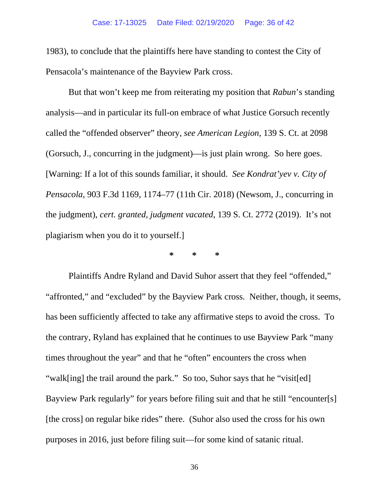1983), to conclude that the plaintiffs here have standing to contest the City of Pensacola's maintenance of the Bayview Park cross.

But that won't keep me from reiterating my position that *Rabun*'s standing analysis—and in particular its full-on embrace of what Justice Gorsuch recently called the "offended observer" theory, *see American Legion*, 139 S. Ct. at 2098 (Gorsuch, J., concurring in the judgment)—is just plain wrong. So here goes. [Warning: If a lot of this sounds familiar, it should. *See Kondrat'yev v. City of Pensacola*, 903 F.3d 1169, 1174–77 (11th Cir. 2018) (Newsom, J., concurring in the judgment), *cert. granted, judgment vacated*, 139 S. Ct. 2772 (2019). It's not plagiarism when you do it to yourself.]

**\* \* \***

Plaintiffs Andre Ryland and David Suhor assert that they feel "offended," "affronted," and "excluded" by the Bayview Park cross. Neither, though, it seems, has been sufficiently affected to take any affirmative steps to avoid the cross. To the contrary, Ryland has explained that he continues to use Bayview Park "many times throughout the year" and that he "often" encounters the cross when "walk[ing] the trail around the park." So too, Suhor says that he "visit[ed] Bayview Park regularly" for years before filing suit and that he still "encounter[s] [the cross] on regular bike rides" there. (Suhor also used the cross for his own purposes in 2016, just before filing suit—for some kind of satanic ritual.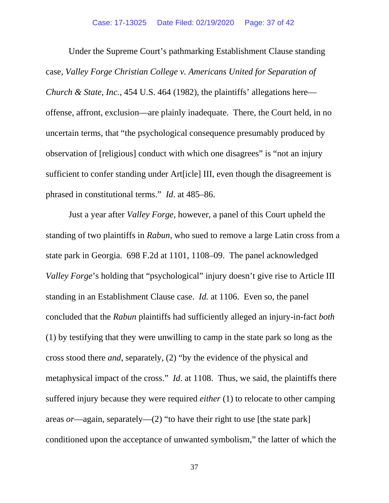Under the Supreme Court's pathmarking Establishment Clause standing case, *Valley Forge Christian College v. Americans United for Separation of Church & State, Inc.*, 454 U.S. 464 (1982), the plaintiffs' allegations here offense, affront, exclusion—are plainly inadequate. There, the Court held, in no uncertain terms, that "the psychological consequence presumably produced by observation of [religious] conduct with which one disagrees" is "not an injury sufficient to confer standing under Art[icle] III, even though the disagreement is phrased in constitutional terms." *Id*. at 485–86.

Just a year after *Valley Forge*, however, a panel of this Court upheld the standing of two plaintiffs in *Rabun*, who sued to remove a large Latin cross from a state park in Georgia. 698 F.2d at 1101, 1108–09. The panel acknowledged *Valley Forge*'s holding that "psychological" injury doesn't give rise to Article III standing in an Establishment Clause case. *Id.* at 1106. Even so, the panel concluded that the *Rabun* plaintiffs had sufficiently alleged an injury-in-fact *both* (1) by testifying that they were unwilling to camp in the state park so long as the cross stood there *and*, separately, (2) "by the evidence of the physical and metaphysical impact of the cross." *Id*. at 1108. Thus, we said, the plaintiffs there suffered injury because they were required *either* (1) to relocate to other camping areas *or*—again, separately—(2) "to have their right to use [the state park] conditioned upon the acceptance of unwanted symbolism," the latter of which the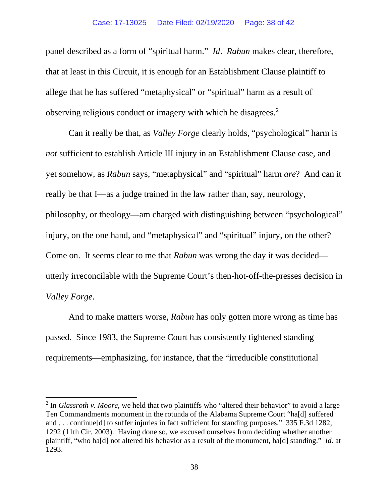#### Case: 17-13025 Date Filed: 02/19/2020 Page: 38 of 42

panel described as a form of "spiritual harm." *Id*. *Rabun* makes clear, therefore, that at least in this Circuit, it is enough for an Establishment Clause plaintiff to allege that he has suffered "metaphysical" or "spiritual" harm as a result of observing religious conduct or imagery with which he disagrees.<sup>[2](#page-37-0)</sup>

Can it really be that, as *Valley Forge* clearly holds, "psychological" harm is *not* sufficient to establish Article III injury in an Establishment Clause case, and yet somehow, as *Rabun* says, "metaphysical" and "spiritual" harm *are*? And can it really be that I—as a judge trained in the law rather than, say, neurology, philosophy, or theology—am charged with distinguishing between "psychological" injury, on the one hand, and "metaphysical" and "spiritual" injury, on the other? Come on. It seems clear to me that *Rabun* was wrong the day it was decided utterly irreconcilable with the Supreme Court's then-hot-off-the-presses decision in *Valley Forge*.

And to make matters worse, *Rabun* has only gotten more wrong as time has passed. Since 1983, the Supreme Court has consistently tightened standing requirements—emphasizing, for instance, that the "irreducible constitutional

<span id="page-37-0"></span><sup>2</sup> In *Glassroth v. Moore*, we held that two plaintiffs who "altered their behavior" to avoid a large Ten Commandments monument in the rotunda of the Alabama Supreme Court "ha[d] suffered and . . . continue[d] to suffer injuries in fact sufficient for standing purposes." 335 F.3d 1282, 1292 (11th Cir. 2003). Having done so, we excused ourselves from deciding whether another plaintiff, "who ha[d] not altered his behavior as a result of the monument, ha[d] standing." *Id*. at 1293.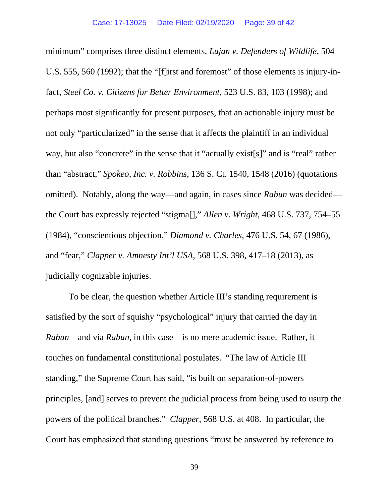minimum" comprises three distinct elements, *Lujan v. Defenders of Wildlife*, 504 U.S. 555, 560 (1992); that the "[f]irst and foremost" of those elements is injury-infact, *Steel Co. v. Citizens for Better Environment*, 523 U.S. 83, 103 (1998); and perhaps most significantly for present purposes, that an actionable injury must be not only "particularized" in the sense that it affects the plaintiff in an individual way, but also "concrete" in the sense that it "actually exist[s]" and is "real" rather than "abstract," *Spokeo, Inc. v. Robbins*, 136 S. Ct. 1540, 1548 (2016) (quotations omitted). Notably, along the way—and again, in cases since *Rabun* was decided the Court has expressly rejected "stigma[]," *Allen v. Wright*, 468 U.S. 737, 754–55 (1984), "conscientious objection," *Diamond v. Charles*, 476 U.S. 54, 67 (1986), and "fear," *Clapper v. Amnesty Int'l USA*, 568 U.S. 398, 417–18 (2013), as judicially cognizable injuries.

To be clear, the question whether Article III's standing requirement is satisfied by the sort of squishy "psychological" injury that carried the day in *Rabun*—and via *Rabun*, in this case—is no mere academic issue. Rather, it touches on fundamental constitutional postulates. "The law of Article III standing," the Supreme Court has said, "is built on separation-of-powers principles, [and] serves to prevent the judicial process from being used to usurp the powers of the political branches." *Clapper*, 568 U.S. at 408. In particular, the Court has emphasized that standing questions "must be answered by reference to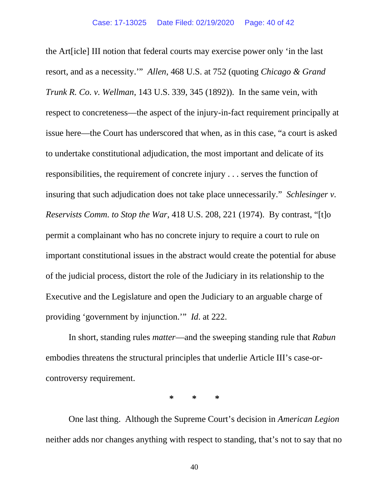the Art[icle] III notion that federal courts may exercise power only 'in the last resort, and as a necessity.'" *Allen*, 468 U.S. at 752 (quoting *Chicago & Grand Trunk R. Co. v. Wellman*, 143 U.S. 339, 345 (1892)). In the same vein, with respect to concreteness—the aspect of the injury-in-fact requirement principally at issue here—the Court has underscored that when, as in this case, "a court is asked to undertake constitutional adjudication, the most important and delicate of its responsibilities, the requirement of concrete injury . . . serves the function of insuring that such adjudication does not take place unnecessarily." *Schlesinger v. Reservists Comm. to Stop the War*, 418 U.S. 208, 221 (1974). By contrast, "[t]o permit a complainant who has no concrete injury to require a court to rule on important constitutional issues in the abstract would create the potential for abuse of the judicial process, distort the role of the Judiciary in its relationship to the Executive and the Legislature and open the Judiciary to an arguable charge of providing 'government by injunction.'" *Id*. at 222.

In short, standing rules *matter*—and the sweeping standing rule that *Rabun* embodies threatens the structural principles that underlie Article III's case-orcontroversy requirement.

**\* \* \***

One last thing. Although the Supreme Court's decision in *American Legion* neither adds nor changes anything with respect to standing, that's not to say that no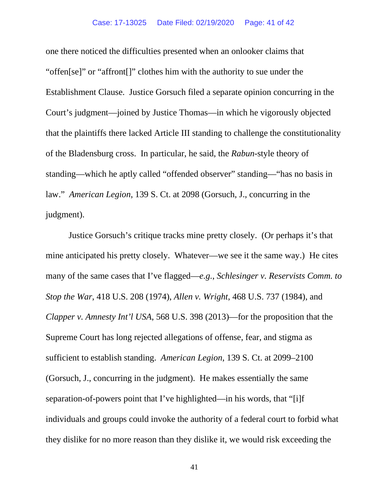one there noticed the difficulties presented when an onlooker claims that "offen[se]" or "affront[]" clothes him with the authority to sue under the Establishment Clause. Justice Gorsuch filed a separate opinion concurring in the Court's judgment—joined by Justice Thomas—in which he vigorously objected that the plaintiffs there lacked Article III standing to challenge the constitutionality of the Bladensburg cross. In particular, he said, the *Rabun*-style theory of standing—which he aptly called "offended observer" standing—"has no basis in law." *American Legion*, 139 S. Ct. at 2098 (Gorsuch, J., concurring in the judgment).

Justice Gorsuch's critique tracks mine pretty closely. (Or perhaps it's that mine anticipated his pretty closely. Whatever—we see it the same way.) He cites many of the same cases that I've flagged—*e.g.*, *Schlesinger v. Reservists Comm. to Stop the War*, 418 U.S. 208 (1974), *Allen v. Wright*, 468 U.S. 737 (1984), and *Clapper v. Amnesty Int'l USA*, 568 U.S. 398 (2013)—for the proposition that the Supreme Court has long rejected allegations of offense, fear, and stigma as sufficient to establish standing. *American Legion*, 139 S. Ct. at 2099–2100 (Gorsuch, J., concurring in the judgment). He makes essentially the same separation-of-powers point that I've highlighted—in his words, that "[i]f individuals and groups could invoke the authority of a federal court to forbid what they dislike for no more reason than they dislike it, we would risk exceeding the